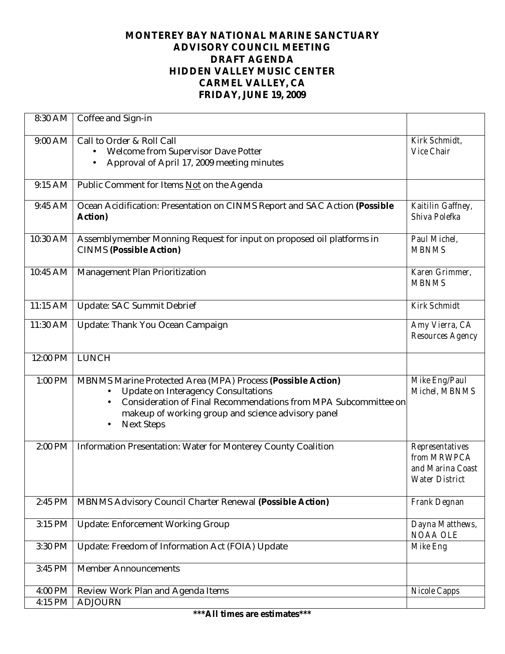## **MONTEREY BAY NATIONAL MARINE SANCTUARY ADVISORY COUNCIL MEETING DRAFT AGENDA HIDDEN VALLEY MUSIC CENTER CARMEL VALLEY, CA FRIDAY, JUNE 19, 2009**

| 8:30 AM   | Coffee and Sign-in                                                                                                                                                                                                                                            |                                                                      |
|-----------|---------------------------------------------------------------------------------------------------------------------------------------------------------------------------------------------------------------------------------------------------------------|----------------------------------------------------------------------|
| 9:00 AM   | Call to Order & Roll Call<br>Welcome from Supervisor Dave Potter<br>$\bullet$<br>Approval of April 17, 2009 meeting minutes<br>$\bullet$                                                                                                                      | Kirk Schmidt,<br>Vice Chair                                          |
| 9:15 AM   | Public Comment for Items Not on the Agenda                                                                                                                                                                                                                    |                                                                      |
| 9:45 AM   | Ocean Acidification: Presentation on CINMS Report and SAC Action (Possible<br>Action)                                                                                                                                                                         | Kaitilin Gaffney,<br>Shiva Polefka                                   |
| 10:30 AM  | Assemblymember Monning Request for input on proposed oil platforms in<br><b>CINMS (Possible Action)</b>                                                                                                                                                       | Paul Michel,<br><b>MBNMS</b>                                         |
| 10:45 AM  | Management Plan Prioritization                                                                                                                                                                                                                                | Karen Grimmer,<br><b>MBNMS</b>                                       |
| 11:15 AM  | <b>Update: SAC Summit Debrief</b>                                                                                                                                                                                                                             | <b>Kirk Schmidt</b>                                                  |
| 11:30 AM  | Update: Thank You Ocean Campaign                                                                                                                                                                                                                              | Amy Vierra, CA<br>Resources Agency                                   |
| 12:00 PM  | LUNCH                                                                                                                                                                                                                                                         |                                                                      |
| $1:00$ PM | MBNMS Marine Protected Area (MPA) Process (Possible Action)<br>Update on Interagency Consultations<br>Consideration of Final Recommendations from MPA Subcommittee on<br>makeup of working group and science advisory panel<br><b>Next Steps</b><br>$\bullet$ | Mike Eng/Paul<br>Michel, MBNMS                                       |
| 2:00 PM   | Information Presentation: Water for Monterey County Coalition                                                                                                                                                                                                 | Representatives<br>from MRWPCA<br>and Marina Coast<br>Water District |
| 2:45 PM   | MBNMS Advisory Council Charter Renewal (Possible Action)                                                                                                                                                                                                      | Frank Degnan                                                         |
| 3:15 PM   | <b>Update: Enforcement Working Group</b>                                                                                                                                                                                                                      | Dayna Matthews,<br>NOAA OLE                                          |
| 3:30 PM   | Update: Freedom of Information Act (FOIA) Update                                                                                                                                                                                                              | Mike Eng                                                             |
| 3:45 PM   | <b>Member Announcements</b>                                                                                                                                                                                                                                   |                                                                      |
| 4:00 PM   | Review Work Plan and Agenda Items                                                                                                                                                                                                                             | Nicole Capps                                                         |
| 4:15 PM   | <b>ADJOURN</b>                                                                                                                                                                                                                                                |                                                                      |